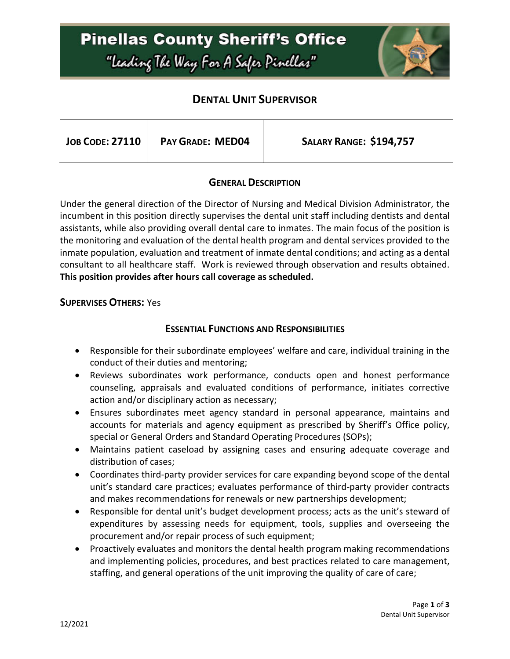# **Pinellas County Sheriff's Office** "Leading The Way For A Safer Pinellar"



### **DENTAL UNIT SUPERVISOR**

| <b>JOB CODE: 27110</b> | <b>PAY GRADE: MED04</b> | <b>SALARY RANGE: \$194,757</b> |
|------------------------|-------------------------|--------------------------------|
|                        |                         |                                |

#### **GENERAL DESCRIPTION**

Under the general direction of the Director of Nursing and Medical Division Administrator, the incumbent in this position directly supervises the dental unit staff including dentists and dental assistants, while also providing overall dental care to inmates. The main focus of the position is the monitoring and evaluation of the dental health program and dental services provided to the inmate population, evaluation and treatment of inmate dental conditions; and acting as a dental consultant to all healthcare staff. Work is reviewed through observation and results obtained. **This position provides after hours call coverage as scheduled.**

#### **SUPERVISES OTHERS:** Yes

#### **ESSENTIAL FUNCTIONS AND RESPONSIBILITIES**

- Responsible for their subordinate employees' welfare and care, individual training in the conduct of their duties and mentoring;
- Reviews subordinates work performance, conducts open and honest performance counseling, appraisals and evaluated conditions of performance, initiates corrective action and/or disciplinary action as necessary;
- Ensures subordinates meet agency standard in personal appearance, maintains and accounts for materials and agency equipment as prescribed by Sheriff's Office policy, special or General Orders and Standard Operating Procedures (SOPs);
- Maintains patient caseload by assigning cases and ensuring adequate coverage and distribution of cases;
- Coordinates third-party provider services for care expanding beyond scope of the dental unit's standard care practices; evaluates performance of third-party provider contracts and makes recommendations for renewals or new partnerships development;
- Responsible for dental unit's budget development process; acts as the unit's steward of expenditures by assessing needs for equipment, tools, supplies and overseeing the procurement and/or repair process of such equipment;
- Proactively evaluates and monitors the dental health program making recommendations and implementing policies, procedures, and best practices related to care management, staffing, and general operations of the unit improving the quality of care of care;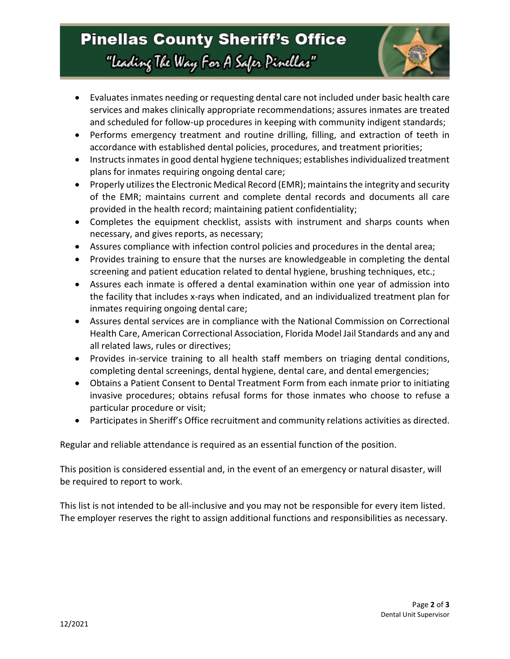# **Pinellas County Sheriff's Office** "Leading The Way For A Safer Pinellar"



- Evaluates inmates needing or requesting dental care not included under basic health care services and makes clinically appropriate recommendations; assures inmates are treated and scheduled for follow-up procedures in keeping with community indigent standards;
- Performs emergency treatment and routine drilling, filling, and extraction of teeth in accordance with established dental policies, procedures, and treatment priorities;
- Instructs inmates in good dental hygiene techniques; establishes individualized treatment plans for inmates requiring ongoing dental care;
- Properly utilizes the Electronic Medical Record (EMR); maintains the integrity and security of the EMR; maintains current and complete dental records and documents all care provided in the health record; maintaining patient confidentiality;
- Completes the equipment checklist, assists with instrument and sharps counts when necessary, and gives reports, as necessary;
- Assures compliance with infection control policies and procedures in the dental area;
- Provides training to ensure that the nurses are knowledgeable in completing the dental screening and patient education related to dental hygiene, brushing techniques, etc.;
- Assures each inmate is offered a dental examination within one year of admission into the facility that includes x-rays when indicated, and an individualized treatment plan for inmates requiring ongoing dental care;
- Assures dental services are in compliance with the National Commission on Correctional Health Care, American Correctional Association, Florida Model Jail Standards and any and all related laws, rules or directives;
- Provides in-service training to all health staff members on triaging dental conditions, completing dental screenings, dental hygiene, dental care, and dental emergencies;
- Obtains a Patient Consent to Dental Treatment Form from each inmate prior to initiating invasive procedures; obtains refusal forms for those inmates who choose to refuse a particular procedure or visit;
- Participates in Sheriff's Office recruitment and community relations activities as directed.

Regular and reliable attendance is required as an essential function of the position.

This position is considered essential and, in the event of an emergency or natural disaster, will be required to report to work.

This list is not intended to be all-inclusive and you may not be responsible for every item listed. The employer reserves the right to assign additional functions and responsibilities as necessary.